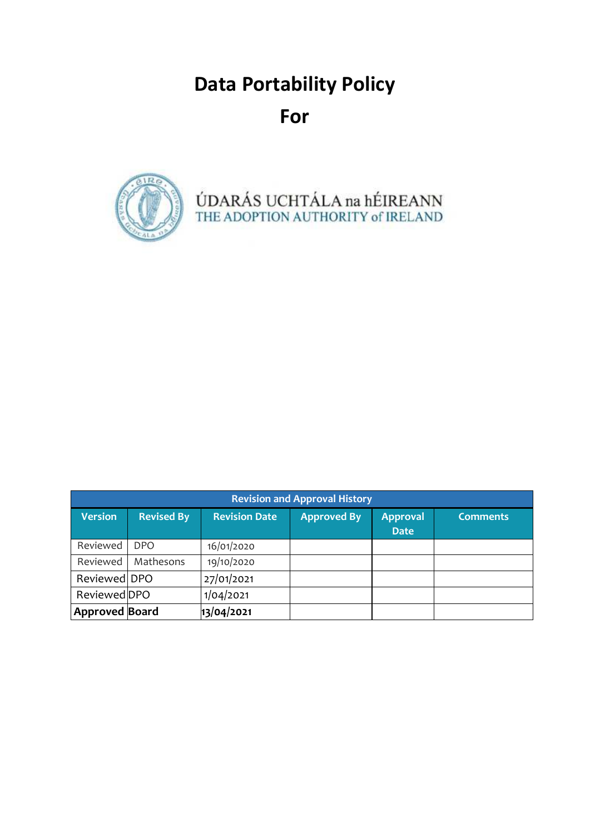# **Data Portability Policy For**



ÚDARÁS UCHTÁLA na hÉIREANN<br>THE ADOPTION AUTHORITY of IRELAND

| <b>Revision and Approval History</b> |                   |                      |                    |                                |                 |  |  |
|--------------------------------------|-------------------|----------------------|--------------------|--------------------------------|-----------------|--|--|
| <b>Version</b>                       | <b>Revised By</b> | <b>Revision Date</b> | <b>Approved By</b> | <b>Approval</b><br><b>Date</b> | <b>Comments</b> |  |  |
| Reviewed                             | DPO               | 16/01/2020           |                    |                                |                 |  |  |
| Reviewed                             | Mathesons         | 19/10/2020           |                    |                                |                 |  |  |
| Reviewed DPO                         |                   | 27/01/2021           |                    |                                |                 |  |  |
| Reviewed DPO                         |                   | 1/04/2021            |                    |                                |                 |  |  |
| Approved Board                       |                   | 13/04/2021           |                    |                                |                 |  |  |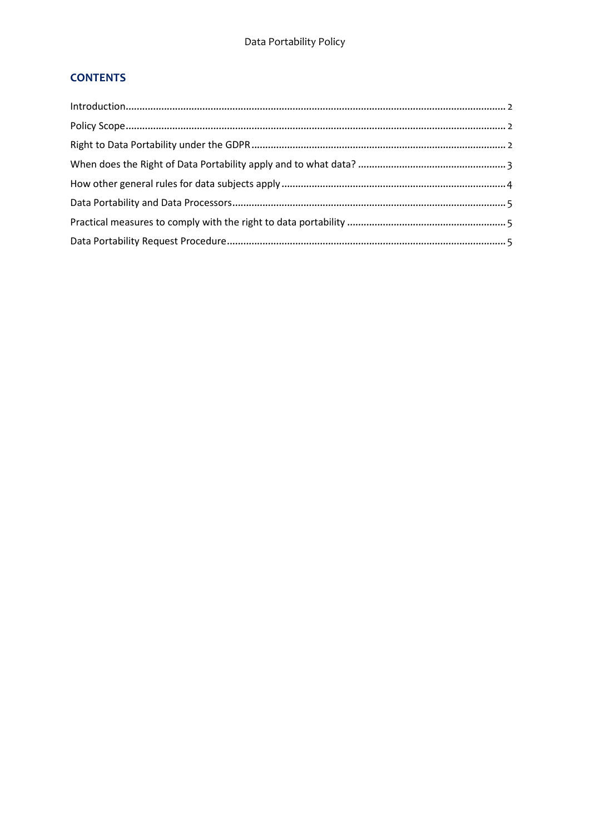# **CONTENTS**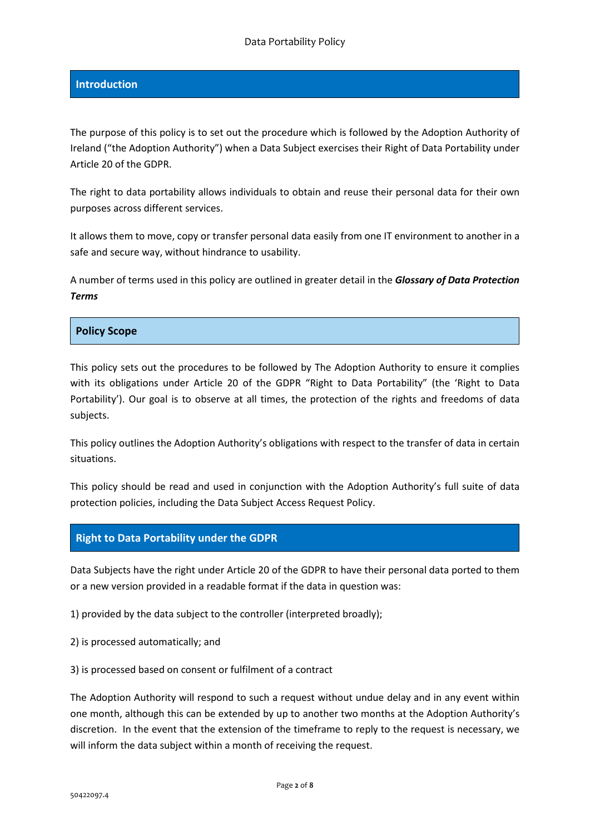#### **Introduction**

The purpose of this policy is to set out the procedure which is followed by the Adoption Authority of Ireland ("the Adoption Authority") when a Data Subject exercises their Right of Data Portability under Article 20 of the GDPR.

The right to data portability allows individuals to obtain and reuse their personal data for their own purposes across different services.

It allows them to move, copy or transfer personal data easily from one IT environment to another in a safe and secure way, without hindrance to usability.

A number of terms used in this policy are outlined in greater detail in the *Glossary of Data Protection Terms*

#### **Policy Scope**

This policy sets out the procedures to be followed by The Adoption Authority to ensure it complies with its obligations under Article 20 of the GDPR "Right to Data Portability" (the 'Right to Data Portability'). Our goal is to observe at all times, the protection of the rights and freedoms of data subjects.

This policy outlines the Adoption Authority's obligations with respect to the transfer of data in certain situations.

This policy should be read and used in conjunction with the Adoption Authority's full suite of data protection policies, including the Data Subject Access Request Policy.

## **Right to Data Portability under the GDPR**

Data Subjects have the right under Article 20 of the GDPR to have their personal data ported to them or a new version provided in a readable format if the data in question was:

1) provided by the data subject to the controller (interpreted broadly);

- 2) is processed automatically; and
- 3) is processed based on consent or fulfilment of a contract

The Adoption Authority will respond to such a request without undue delay and in any event within one month, although this can be extended by up to another two months at the Adoption Authority's discretion. In the event that the extension of the timeframe to reply to the request is necessary, we will inform the data subject within a month of receiving the request.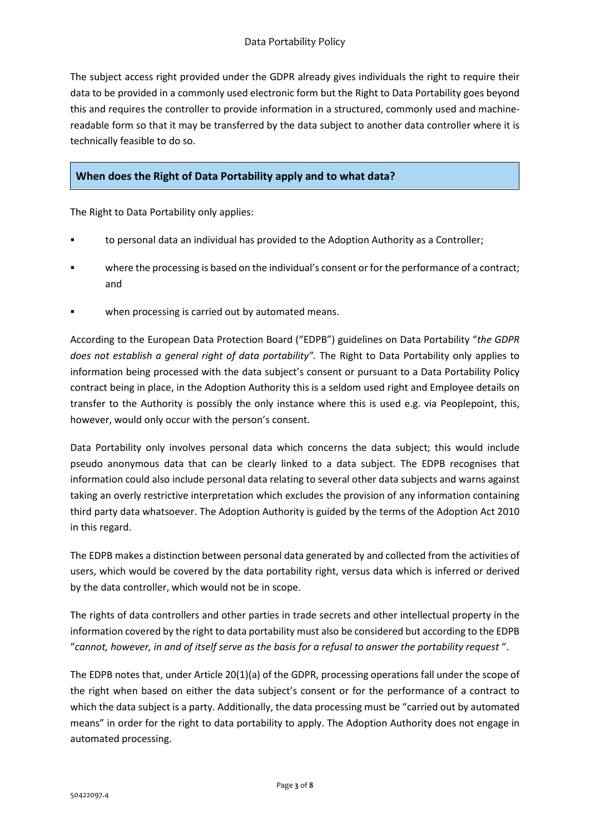The subject access right provided under the GDPR already gives individuals the right to require their data to be provided in a commonly used electronic form but the Right to Data Portability goes beyond this and requires the controller to provide information in a structured, commonly used and machinereadable form so that it may be transferred by the data subject to another data controller where it is technically feasible to do so.

# **When does the Right of Data Portability apply and to what data?**

The Right to Data Portability only applies:

- to personal data an individual has provided to the Adoption Authority as a Controller;
- where the processing is based on the individual's consent or for the performance of a contract; and
- when processing is carried out by automated means.

According to the European Data Protection Board ("EDPB") guidelines on Data Portability "*the GDPR does not establish a general right of data portability".* The Right to Data Portability only applies to information being processed with the data subject's consent or pursuant to a Data Portability Policy contract being in place, in the Adoption Authority this is a seldom used right and Employee details on transfer to the Authority is possibly the only instance where this is used e.g. via Peoplepoint, this, however, would only occur with the person's consent.

Data Portability only involves personal data which concerns the data subject; this would include pseudo anonymous data that can be clearly linked to a data subject. The EDPB recognises that information could also include personal data relating to several other data subjects and warns against taking an overly restrictive interpretation which excludes the provision of any information containing third party data whatsoever. The Adoption Authority is guided by the terms of the Adoption Act 2010 in this regard.

The EDPB makes a distinction between personal data generated by and collected from the activities of users, which would be covered by the data portability right, versus data which is inferred or derived by the data controller, which would not be in scope.

The rights of data controllers and other parties in trade secrets and other intellectual property in the information covered by the right to data portability must also be considered but according to the EDPB "*cannot, however, in and of itself serve as the basis for a refusal to answer the portability request* ".

The EDPB notes that, under Article 20(1)(a) of the GDPR, processing operations fall under the scope of the right when based on either the data subject's consent or for the performance of a contract to which the data subject is a party. Additionally, the data processing must be "carried out by automated means" in order for the right to data portability to apply. The Adoption Authority does not engage in automated processing.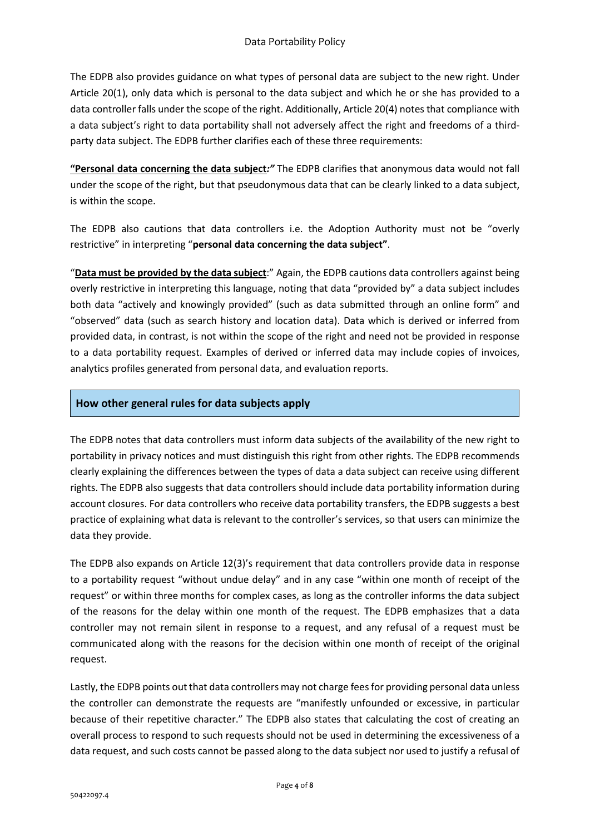The EDPB also provides guidance on what types of personal data are subject to the new right. Under Article 20(1), only data which is personal to the data subject and which he or she has provided to a data controller falls under the scope of the right. Additionally, Article 20(4) notes that compliance with a data subject's right to data portability shall not adversely affect the right and freedoms of a thirdparty data subject. The EDPB further clarifies each of these three requirements:

**"Personal data concerning the data subject***:"* The EDPB clarifies that anonymous data would not fall under the scope of the right, but that pseudonymous data that can be clearly linked to a data subject, is within the scope.

The EDPB also cautions that data controllers i.e. the Adoption Authority must not be "overly restrictive" in interpreting "**personal data concerning the data subject"**.

"**Data must be provided by the data subject**:" Again, the EDPB cautions data controllers against being overly restrictive in interpreting this language, noting that data "provided by" a data subject includes both data "actively and knowingly provided" (such as data submitted through an online form" and "observed" data (such as search history and location data). Data which is derived or inferred from provided data, in contrast, is not within the scope of the right and need not be provided in response to a data portability request. Examples of derived or inferred data may include copies of invoices, analytics profiles generated from personal data, and evaluation reports.

## **How other general rules for data subjects apply**

The EDPB notes that data controllers must inform data subjects of the availability of the new right to portability in privacy notices and must distinguish this right from other rights. The EDPB recommends clearly explaining the differences between the types of data a data subject can receive using different rights. The EDPB also suggests that data controllers should include data portability information during account closures. For data controllers who receive data portability transfers, the EDPB suggests a best practice of explaining what data is relevant to the controller's services, so that users can minimize the data they provide.

The EDPB also expands on Article 12(3)'s requirement that data controllers provide data in response to a portability request "without undue delay" and in any case "within one month of receipt of the request" or within three months for complex cases, as long as the controller informs the data subject of the reasons for the delay within one month of the request. The EDPB emphasizes that a data controller may not remain silent in response to a request, and any refusal of a request must be communicated along with the reasons for the decision within one month of receipt of the original request.

Lastly, the EDPB points out that data controllers may not charge fees for providing personal data unless the controller can demonstrate the requests are "manifestly unfounded or excessive, in particular because of their repetitive character." The EDPB also states that calculating the cost of creating an overall process to respond to such requests should not be used in determining the excessiveness of a data request, and such costs cannot be passed along to the data subject nor used to justify a refusal of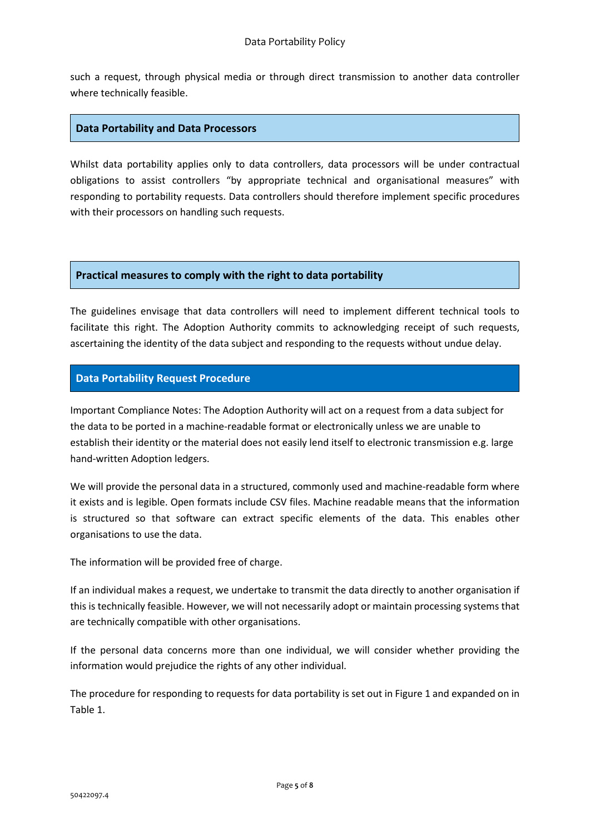such a request, through physical media or through direct transmission to another data controller where technically feasible.

#### **Data Portability and Data Processors**

Whilst data portability applies only to data controllers, data processors will be under contractual obligations to assist controllers "by appropriate technical and organisational measures" with responding to portability requests. Data controllers should therefore implement specific procedures with their processors on handling such requests.

#### **Practical measures to comply with the right to data portability**

The guidelines envisage that data controllers will need to implement different technical tools to facilitate this right. The Adoption Authority commits to acknowledging receipt of such requests, ascertaining the identity of the data subject and responding to the requests without undue delay.

## **Data Portability Request Procedure**

Important Compliance Notes: The Adoption Authority will act on a request from a data subject for the data to be ported in a machine-readable format or electronically unless we are unable to establish their identity or the material does not easily lend itself to electronic transmission e.g. large hand-written Adoption ledgers.

We will provide the personal data in a structured, commonly used and machine-readable form where it exists and is legible. Open formats include CSV files. Machine readable means that the information is structured so that software can extract specific elements of the data. This enables other organisations to use the data.

The information will be provided free of charge.

If an individual makes a request, we undertake to transmit the data directly to another organisation if this is technically feasible. However, we will not necessarily adopt or maintain processing systems that are technically compatible with other organisations.

If the personal data concerns more than one individual, we will consider whether providing the information would prejudice the rights of any other individual.

The procedure for responding to requests for data portability is set out in Figure 1 and expanded on in Table 1.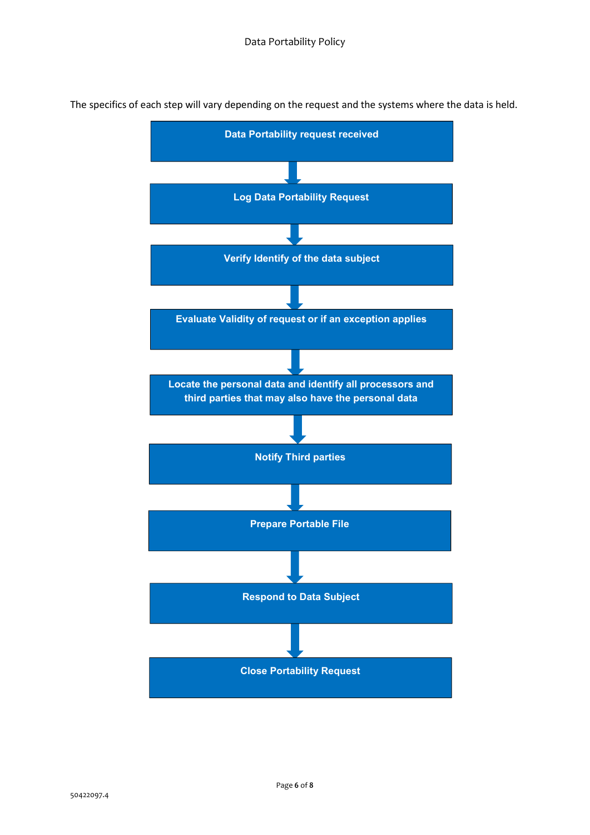

The specifics of each step will vary depending on the request and the systems where the data is held.